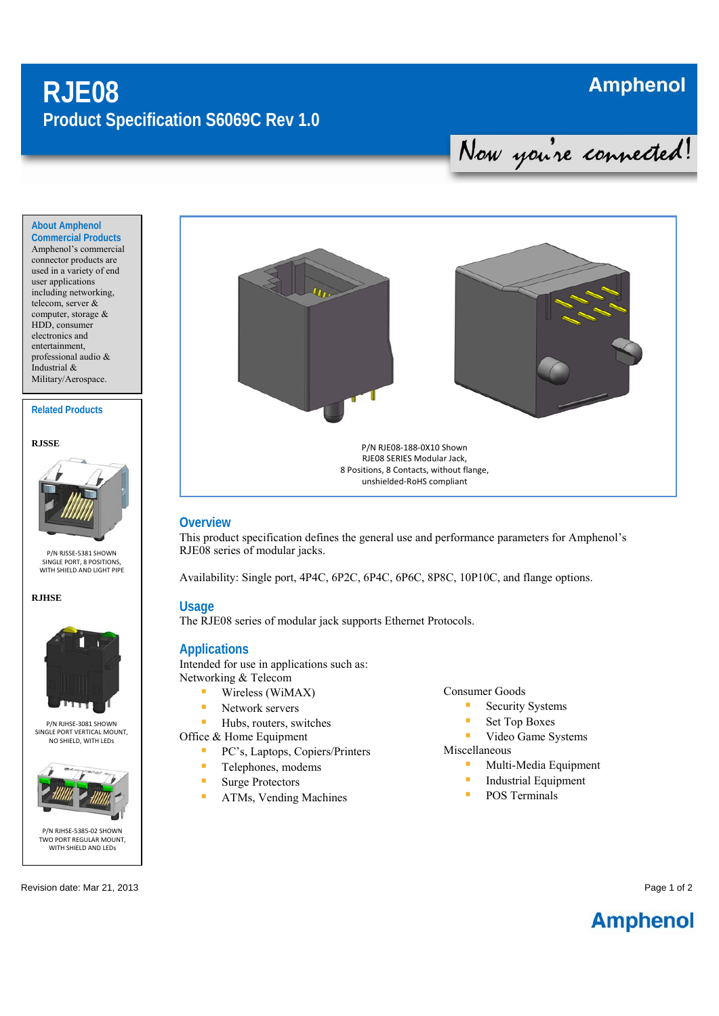# **RJE08 Product Specification S6069C Rev 1.0**

## **Amphenol**

Nou you're connected!

**About Amphenol Commercial Products** 

Amphenol's commercial connector products are used in a variety of end user applications including networking, telecom, server & computer, storage & HDD, consumer electronics and entertainment, professional audio & Industrial & Military/Aerospace.

#### **Related Products**





P/N RJSSE‐5381 SHOWN SINGLE PORT, 8 POSITIONS, WITH SHIELD AND LIGHT PIPE

#### **RJHSE**



P/N RJHSE‐3081 SHOWN SINGLE PORT VERTICAL MOUNT, NO SHIELD, WITH LEDs



Revision date: Mar 21, 2013 **Page 1 of 2** and 2012 **Page 1 of 2** and 2012 **Page 1 of 2** and 2012 **Page 1 of 2** and 2012 **Page 1 of 2** and 2012 **Page 1 of 2** and 2012 **Page 1 of 2** and 2012 **Page 1 of 2** and 2012 **Page 1 of** 



### **Overview**

This product specification defines the general use and performance parameters for Amphenol's RJE08 series of modular jacks.

Availability: Single port, 4P4C, 6P2C, 6P4C, 6P6C, 8P8C, 10P10C, and flange options.

## **Usage**

The RJE08 series of modular jack supports Ethernet Protocols.

### **Applications**

Intended for use in applications such as: Networking & Telecom

- Wireless (WiMAX)
- **Network servers**
- Hubs, routers, switches
- Office & Home Equipment
	- **PC's, Laptops, Copiers/Printers**
	- **Telephones**, modems
	- **Surge Protectors**
	- **ATMs, Vending Machines**

#### Consumer Goods

- **Security Systems**
- Set Top Boxes
- **Video Game Systems**

Miscellaneous

- **Multi-Media Equipment**
- Industrial Equipment
- **POS Terminals**

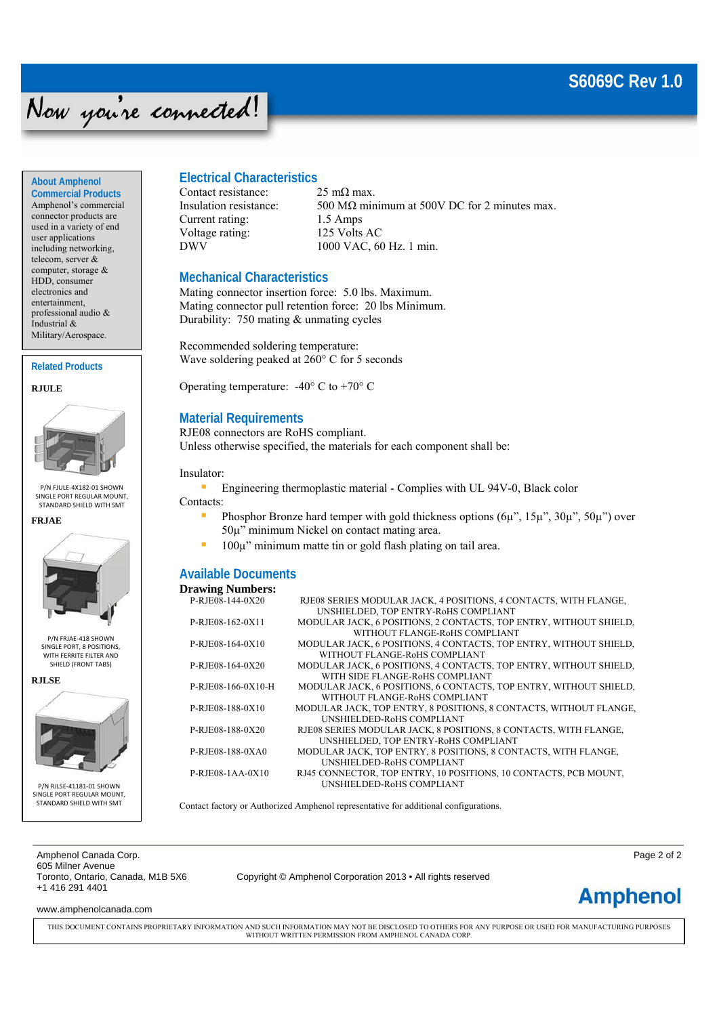## **S6069C Rev 1.0**

# Now you're connected!

**About Amphenol Commercial Products** 

Amphenol's commercial connector products are used in a variety of end user applications including networking, telecom, server & computer, storage & HDD, consumer electronics and entertainment, professional audio & Industrial & Military/Aerospace.

**Related Products** 

**RJULE** 



P/N FJULE‐4X182‐01 SHOWN SINGLE PORT REGULAR MOUNT, STANDARD SHIELD WITH SMT





P/N FRJAE‐418 SHOWN SINGLE PORT, 8 POSITIONS, WITH FERRITE FILTER AND SHIELD (FRONT TABS)

**RJLSE** 



P/N RJLSE‐41181‐01 SHOWN SINGLE PORT REGULAR MOUNT STANDARD SHIELD WITH SMT

## **Electrical Characteristics**

Contact resistance:  $25 \text{ mA}$  max. Current rating: 1.5 Amps Voltage rating: 125 Volts AC

Insulation resistance:  $500 \text{ M}\Omega$  minimum at 500V DC for 2 minutes max. DWV 1000 VAC, 60 Hz. 1 min.

## **Mechanical Characteristics**

Mating connector insertion force: 5.0 lbs. Maximum. Mating connector pull retention force: 20 lbs Minimum. Durability: 750 mating & unmating cycles

Recommended soldering temperature: Wave soldering peaked at 260° C for 5 seconds

Operating temperature:  $-40^{\circ}$  C to  $+70^{\circ}$  C

## **Material Requirements**

RJE08 connectors are RoHS compliant. Unless otherwise specified, the materials for each component shall be:

Insulator:

**Engineering thermoplastic material - Complies with UL 94V-0, Black color** 

- Contacts:
	- **Phosphor Bronze hard temper with gold thickness options**  $(6\mu$ **",**  $15\mu$ **",**  $30\mu$ **",**  $50\mu$ **") over** 50µ" minimum Nickel on contact mating area.
	- $\blacksquare$  100 $\mu$ " minimum matte tin or gold flash plating on tail area.

## **Available Documents**

| <b>Drawing Numbers:</b> |                                                                   |
|-------------------------|-------------------------------------------------------------------|
| P-RJE08-144-0X20        | RJE08 SERIES MODULAR JACK, 4 POSITIONS, 4 CONTACTS, WITH FLANGE,  |
|                         | UNSHIELDED, TOP ENTRY-RoHS COMPLIANT                              |
| P-RJE08-162-0X11        | MODULAR JACK, 6 POSITIONS, 2 CONTACTS, TOP ENTRY, WITHOUT SHIELD, |
|                         | WITHOUT FLANGE-ROHS COMPLIANT                                     |
| P-RJE08-164-0X10        | MODULAR JACK, 6 POSITIONS, 4 CONTACTS, TOP ENTRY, WITHOUT SHIELD, |
|                         | WITHOUT FLANGE-ROHS COMPLIANT                                     |
| P-RJE08-164-0X20        | MODULAR JACK, 6 POSITIONS, 4 CONTACTS, TOP ENTRY, WITHOUT SHIELD, |
|                         | WITH SIDE FLANGE-ROHS COMPLIANT                                   |
| P-RJE08-166-0X10-H      | MODULAR JACK, 6 POSITIONS, 6 CONTACTS, TOP ENTRY, WITHOUT SHIELD, |
|                         | WITHOUT FLANGE-ROHS COMPLIANT                                     |
| P-RJE08-188-0X10        | MODULAR JACK, TOP ENTRY, 8 POSITIONS, 8 CONTACTS, WITHOUT FLANGE, |
|                         | UNSHIELDED-R0HS COMPLIANT                                         |
| P-RJE08-188-0X20        | RJE08 SERIES MODULAR JACK, 8 POSITIONS, 8 CONTACTS, WITH FLANGE,  |
|                         | UNSHIELDED, TOP ENTRY-RoHS COMPLIANT                              |
| P-RJE08-188-0XA0        | MODULAR JACK, TOP ENTRY, 8 POSITIONS, 8 CONTACTS, WITH FLANGE,    |
|                         | UNSHIELDED-RoHS COMPLIANT                                         |
| $P-RJE08-1AA-0X10$      | RJ45 CONNECTOR, TOP ENTRY, 10 POSITIONS, 10 CONTACTS, PCB MOUNT,  |
|                         | UNSHIELDED-RoHS COMPLIANT                                         |

Contact factory or Authorized Amphenol representative for additional configurations.

Amphenol Canada Corp. **Page 2 of 2** of 2 605 Milner Avenue +1 416 291 4401

Copyright © Amphenol Corporation 2013 • All rights reserved

**Amphenol** 

www.amphenolcanada.com

THIS DOCUMENT CONTAINS PROPRIETARY INFORMATION AND SUCH INFORMATION MAY NOT BE DISCLOSED TO OTHERS FOR ANY PURPOSE OR USED FOR MANUFACTURING PURPOSES WITHOUT WRITTEN PERMISSION FROM AMPHENOL CANADA CORP.